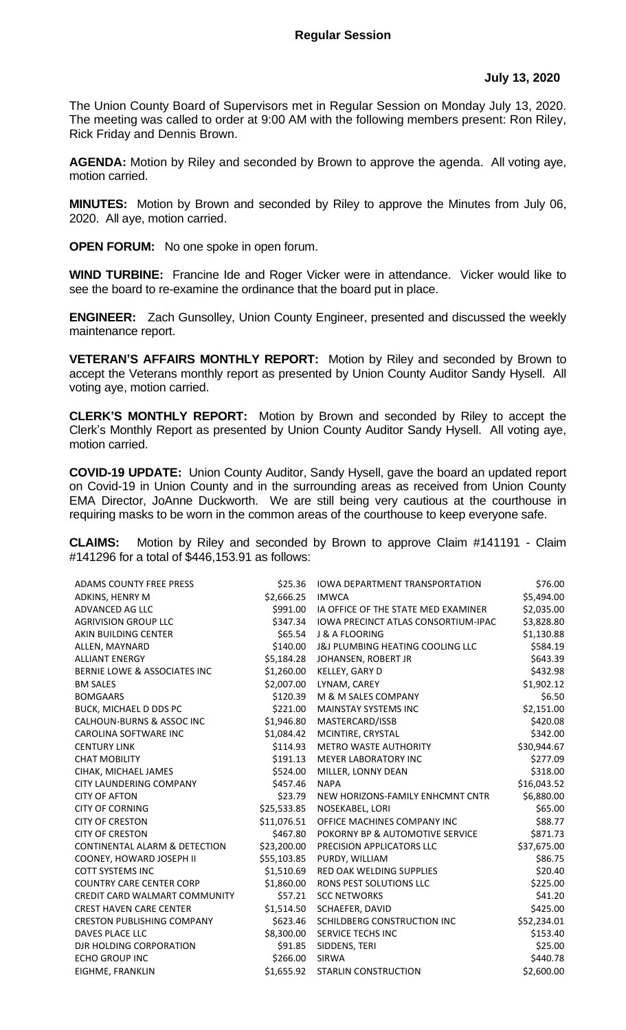The Union County Board of Supervisors met in Regular Session on Monday July 13, 2020. The meeting was called to order at 9:00 AM with the following members present: Ron Riley, Rick Friday and Dennis Brown.

**AGENDA:** Motion by Riley and seconded by Brown to approve the agenda. All voting aye, motion carried.

**MINUTES:** Motion by Brown and seconded by Riley to approve the Minutes from July 06, 2020. All aye, motion carried.

**OPEN FORUM:** No one spoke in open forum.

**WIND TURBINE:** Francine Ide and Roger Vicker were in attendance. Vicker would like to see the board to re-examine the ordinance that the board put in place.

**ENGINEER:** Zach Gunsolley, Union County Engineer, presented and discussed the weekly maintenance report.

**VETERAN'S AFFAIRS MONTHLY REPORT:** Motion by Riley and seconded by Brown to accept the Veterans monthly report as presented by Union County Auditor Sandy Hysell. All voting aye, motion carried.

**CLERK'S MONTHLY REPORT:** Motion by Brown and seconded by Riley to accept the Clerk's Monthly Report as presented by Union County Auditor Sandy Hysell. All voting aye, motion carried.

**COVID-19 UPDATE:** Union County Auditor, Sandy Hysell, gave the board an updated report on Covid-19 in Union County and in the surrounding areas as received from Union County EMA Director, JoAnne Duckworth. We are still being very cautious at the courthouse in requiring masks to be worn in the common areas of the courthouse to keep everyone safe.

**CLAIMS:** Motion by Riley and seconded by Brown to approve Claim #141191 - Claim #141296 for a total of \$446,153.91 as follows:

| ADAMS COUNTY FREE PRESS           | \$25.36     | <b>IOWA DEPARTMENT TRANSPORTATION</b> | \$76.00     |
|-----------------------------------|-------------|---------------------------------------|-------------|
| ADKINS, HENRY M                   | \$2,666.25  | <b>IMWCA</b>                          | \$5,494.00  |
| ADVANCED AG LLC                   | \$991.00    | IA OFFICE OF THE STATE MED EXAMINER   | \$2,035.00  |
| <b>AGRIVISION GROUP LLC</b>       | \$347.34    | IOWA PRECINCT ATLAS CONSORTIUM-IPAC   | \$3,828.80  |
| AKIN BUILDING CENTER              | \$65.54     | J & A FLOORING                        | \$1,130.88  |
| ALLEN, MAYNARD                    | \$140.00    | J&J PLUMBING HEATING COOLING LLC      | \$584.19    |
| <b>ALLIANT ENERGY</b>             | \$5,184.28  | JOHANSEN, ROBERT JR                   | \$643.39    |
| BERNIE LOWE & ASSOCIATES INC      | \$1,260.00  | KELLEY, GARY D                        | \$432.98    |
| <b>BM SALES</b>                   | \$2,007.00  | LYNAM, CAREY                          | \$1,902.12  |
| <b>BOMGAARS</b>                   | \$120.39    | M & M SALES COMPANY                   | \$6.50      |
| BUCK, MICHAEL D DDS PC            | \$221.00    | <b>MAINSTAY SYSTEMS INC</b>           | \$2,151.00  |
| CALHOUN-BURNS & ASSOC INC         | \$1,946.80  | MASTERCARD/ISSB                       | \$420.08    |
| <b>CAROLINA SOFTWARE INC</b>      | \$1,084.42  | MCINTIRE, CRYSTAL                     | \$342.00    |
| <b>CENTURY LINK</b>               | \$114.93    | <b>METRO WASTE AUTHORITY</b>          | \$30,944.67 |
| <b>CHAT MOBILITY</b>              | \$191.13    | <b>MEYER LABORATORY INC</b>           | \$277.09    |
| CIHAK, MICHAEL JAMES              | \$524.00    | MILLER, LONNY DEAN                    | \$318.00    |
| <b>CITY LAUNDERING COMPANY</b>    | \$457.46    | <b>NAPA</b>                           | \$16,043.52 |
| <b>CITY OF AFTON</b>              | \$23.79     | NEW HORIZONS-FAMILY ENHCMNT CNTR      | \$6,880.00  |
| <b>CITY OF CORNING</b>            | \$25,533.85 | NOSEKABEL, LORI                       | \$65.00     |
| <b>CITY OF CRESTON</b>            | \$11,076.51 | OFFICE MACHINES COMPANY INC           | \$88.77     |
| <b>CITY OF CRESTON</b>            | \$467.80    | POKORNY BP & AUTOMOTIVE SERVICE       | \$871.73    |
| CONTINENTAL ALARM & DETECTION     | \$23,200.00 | PRECISION APPLICATORS LLC             | \$37,675.00 |
| COONEY, HOWARD JOSEPH II          | \$55,103.85 | PURDY, WILLIAM                        | \$86.75     |
| <b>COTT SYSTEMS INC</b>           | \$1,510.69  | <b>RED OAK WELDING SUPPLIES</b>       | \$20.40     |
| <b>COUNTRY CARE CENTER CORP</b>   | \$1,860.00  | RONS PEST SOLUTIONS LLC               | \$225.00    |
| CREDIT CARD WALMART COMMUNITY     | \$57.21     | <b>SCC NETWORKS</b>                   | \$41.20     |
| <b>CREST HAVEN CARE CENTER</b>    | \$1,514.50  | SCHAEFER, DAVID                       | \$425.00    |
| <b>CRESTON PUBLISHING COMPANY</b> | \$623.46    | SCHILDBERG CONSTRUCTION INC           | \$52,234.01 |
| <b>DAVES PLACE LLC</b>            | \$8,300.00  | <b>SERVICE TECHS INC</b>              | \$153.40    |
| DJR HOLDING CORPORATION           | \$91.85     | SIDDENS, TERI                         | \$25.00     |
| <b>ECHO GROUP INC</b>             | \$266.00    | SIRWA                                 | \$440.78    |
| EIGHME, FRANKLIN                  | \$1,655.92  | STARLIN CONSTRUCTION                  | \$2,600.00  |